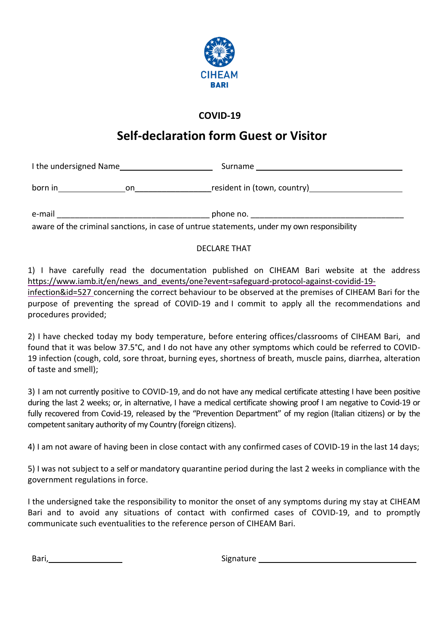

## **COVID-19**

## **Self-declaration form Guest or Visitor**

| I the undersigned Name                                                                     |    | Surname                     |
|--------------------------------------------------------------------------------------------|----|-----------------------------|
| born in                                                                                    | on | resident in (town, country) |
| e-mail                                                                                     |    | phone no.                   |
| awaxa af tho eximinal conotione, in easo af untruo etatomonte, undor mu que responsibility |    |                             |

aware of the criminal sanctions, in case of untrue statements, under my own responsibility

## DECLARE THAT

1) I have carefully read the documentation published on CIHEAM Bari website at the address https://www.iamb.it/en/news\_and\_events/one?event=safeguard-protocol-against-covidid-19-

[infection&id=527](https://www.iamb.it/en/news_and_events/one?event=safeguard-protocol-against-covidid-19-infection&id=527) concerning the correct behaviour to be observed at the premises of CIHEAM Bari for the purpose of preventing the spread of COVID-19 and I commit to apply all the recommendations and procedures provided;

1) 2) I have checked today my body temperature, before entering offices/classrooms of CIHEAM Bari, and found that it was below 37.5°C, and I do not have any other symptoms which could be referred to COVID-19 infection (cough, cold, sore throat, burning eyes, shortness of breath, muscle pains, diarrhea, alteration of taste and smell);

2) 3) I am not currently positive to COVID-19, and do not have any medical certificate attesting I have been positive during the last 2 weeks; or, in alternative, I have a medical certificate showing proof I am negative to Covid-19 or fully recovered from Covid-19, released by the "Prevention Department" of my region (Italian citizens) or by the competent sanitary authority of my Country (foreign citizens).

3) 4) I am not aware of having been in close contact with any confirmed cases of COVID-19 in the last 14 days;

4) 5) I was not subject to a self or mandatory quarantine period during the last 2 weeks in compliance with the government regulations in force.

I the undersigned take the responsibility to monitor the onset of any symptoms during my stay at CIHEAM Bari and to avoid any situations of contact with confirmed cases of COVID-19, and to promptly communicate such eventualities to the reference person of CIHEAM Bari.

Bari, Europa and Signature and Signature and Signature and Signature and Signature and Signature and Signature and Signature and Signature and Signature and Signature and Signature and Signature and Signature and Signature